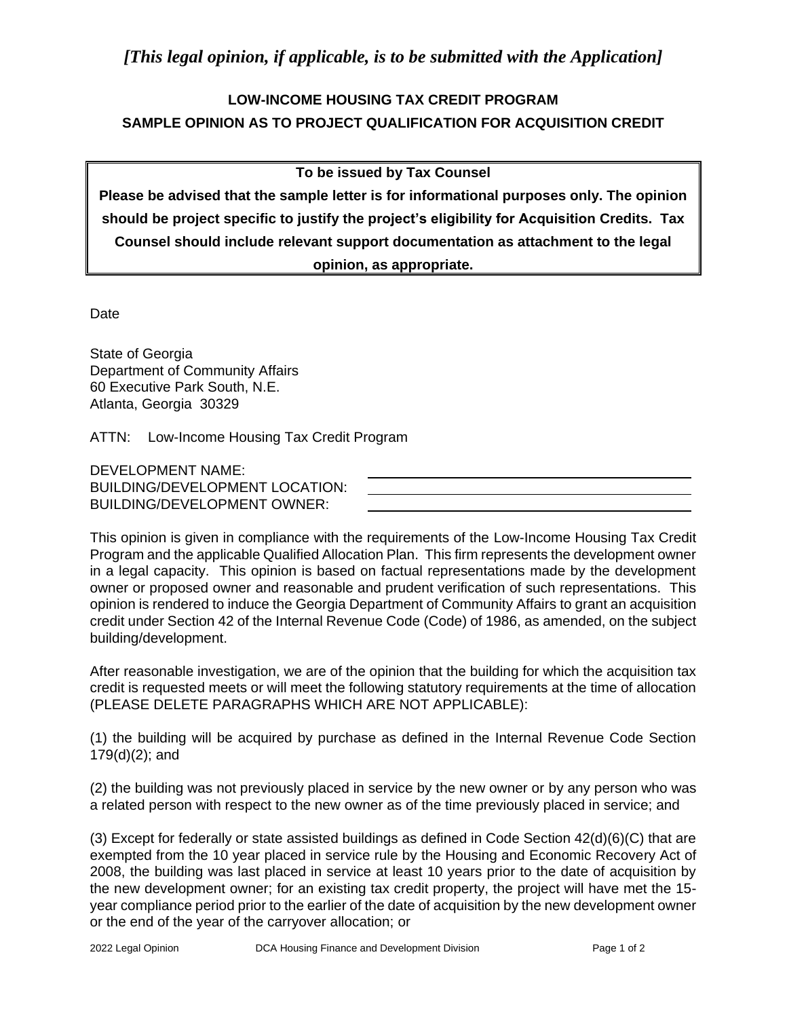## **LOW-INCOME HOUSING TAX CREDIT PROGRAM SAMPLE OPINION AS TO PROJECT QUALIFICATION FOR ACQUISITION CREDIT**

## **To be issued by Tax Counsel**

**Please be advised that the sample letter is for informational purposes only. The opinion should be project specific to justify the project's eligibility for Acquisition Credits. Tax Counsel should include relevant support documentation as attachment to the legal opinion, as appropriate.**

Date

State of Georgia Department of Community Affairs 60 Executive Park South, N.E. Atlanta, Georgia 30329

ATTN: Low-Income Housing Tax Credit Program

DEVELOPMENT NAME: BUILDING/DEVELOPMENT LOCATION: BUILDING/DEVELOPMENT OWNER:

This opinion is given in compliance with the requirements of the Low-Income Housing Tax Credit Program and the applicable Qualified Allocation Plan. This firm represents the development owner in a legal capacity. This opinion is based on factual representations made by the development owner or proposed owner and reasonable and prudent verification of such representations. This opinion is rendered to induce the Georgia Department of Community Affairs to grant an acquisition credit under Section 42 of the Internal Revenue Code (Code) of 1986, as amended, on the subject building/development.

After reasonable investigation, we are of the opinion that the building for which the acquisition tax credit is requested meets or will meet the following statutory requirements at the time of allocation (PLEASE DELETE PARAGRAPHS WHICH ARE NOT APPLICABLE):

(1) the building will be acquired by purchase as defined in the Internal Revenue Code Section 179(d)(2); and

(2) the building was not previously placed in service by the new owner or by any person who was a related person with respect to the new owner as of the time previously placed in service; and

(3) Except for federally or state assisted buildings as defined in Code Section 42(d)(6)(C) that are exempted from the 10 year placed in service rule by the Housing and Economic Recovery Act of 2008, the building was last placed in service at least 10 years prior to the date of acquisition by the new development owner; for an existing tax credit property, the project will have met the 15 year compliance period prior to the earlier of the date of acquisition by the new development owner or the end of the year of the carryover allocation; or